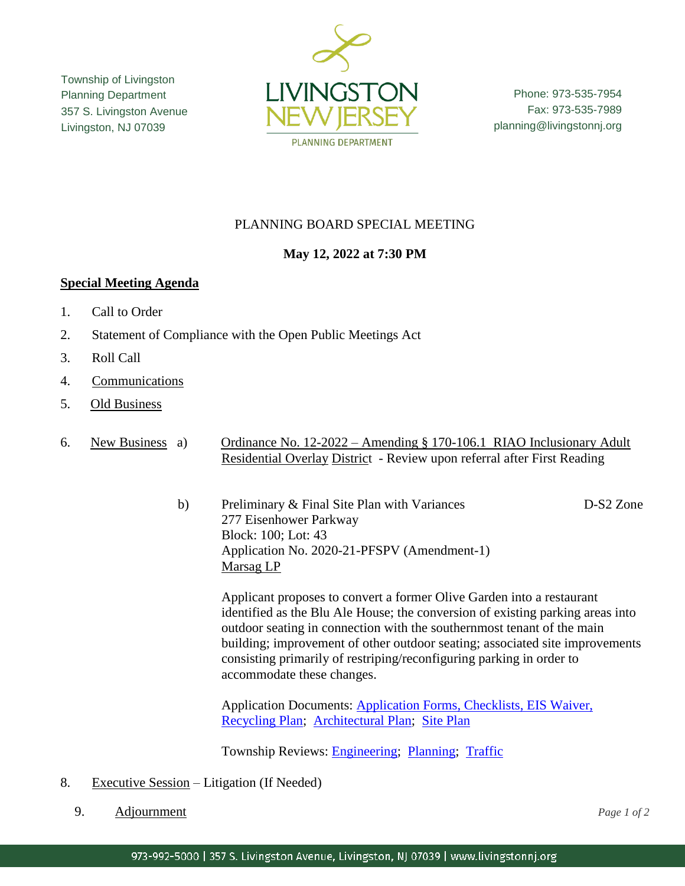Township of Livingston Planning Department 357 S. Livingston Avenue Livingston, NJ 07039



Phone: 973-535-7954 Fax: 973-535-7989 planning@livingstonnj.org

## PLANNING BOARD SPECIAL MEETING

## **May 12, 2022 at 7:30 PM**

## **Special Meeting Agenda**

- 1. Call to Order
- 2. Statement of Compliance with the Open Public Meetings Act
- 3. Roll Call
- 4. Communications
- 5. Old Business

6. New Business a) Ordinance No. 12-2022 – Amending § 170-106.1 RIAO Inclusionary Adult Residential Overlay District - Review upon referral after First Reading

> b) Preliminary & Final Site Plan with Variances D-S2 Zone 277 Eisenhower Parkway Block: 100; Lot: 43 Application No. 2020-21-PFSPV (Amendment-1) Marsag LP

Applicant proposes to convert a former Olive Garden into a restaurant identified as the Blu Ale House; the conversion of existing parking areas into outdoor seating in connection with the southernmost tenant of the main building; improvement of other outdoor seating; associated site improvements consisting primarily of restriping/reconfiguring parking in order to accommodate these changes.

Application Documents: [Application Forms, Checklists, EIS Waiver,](http://livingstonnj.org/DocumentCenter/View/13844/Marsag---Application-Docs)  [Recycling Plan;](http://livingstonnj.org/DocumentCenter/View/13844/Marsag---Application-Docs) [Architectural Plan;](http://livingstonnj.org/DocumentCenter/View/13839/Marsag---Blue-Ale-House-Architecture---11-10-2021) [Site Plan](http://livingstonnj.org/DocumentCenter/View/13845/Marsag---Site-Plan-BLUE-ALE-04-28-2022)

Township Reviews: **Engineering**; [Planning;](http://livingstonnj.org/DocumentCenter/View/13848/Marsag---Planning-Completness-Review---02-28-2022) [Traffic](http://livingstonnj.org/DocumentCenter/View/13847/Marsag---KleinTraffic-Review-2020-21-PFSPV-MARSAG-033122)

- 8. Executive Session Litigation (If Needed)
	- 9. Adjournment *Page 1 of 2*